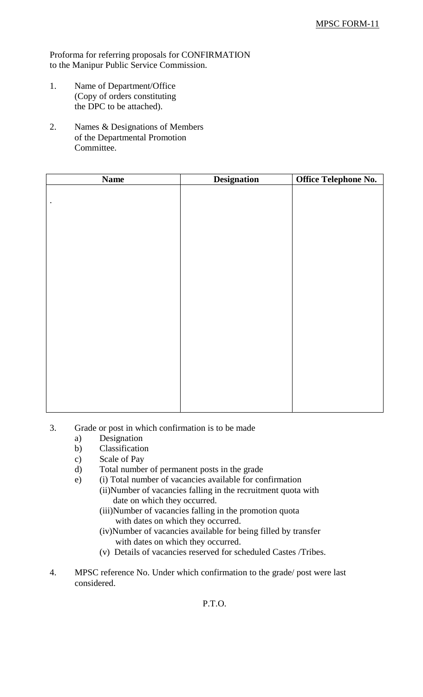Proforma for referring proposals for CONFIRMATION to the Manipur Public Service Commission.

- 1. Name of Department/Office (Copy of orders constituting the DPC to be attached).
- 2. Names & Designations of Members of the Departmental Promotion Committee.

| <b>Name</b> | <b>Designation</b> | Office Telephone No. |
|-------------|--------------------|----------------------|
|             |                    |                      |
| $\bullet$   |                    |                      |
|             |                    |                      |
|             |                    |                      |
|             |                    |                      |
|             |                    |                      |
|             |                    |                      |
|             |                    |                      |
|             |                    |                      |
|             |                    |                      |
|             |                    |                      |
|             |                    |                      |
|             |                    |                      |
|             |                    |                      |
|             |                    |                      |
|             |                    |                      |
|             |                    |                      |
|             |                    |                      |
|             |                    |                      |
|             |                    |                      |

- 3. Grade or post in which confirmation is to be made
	- a) Designation
	- b) Classification
	- c) Scale of Pay
	- d) Total number of permanent posts in the grade
	- e) (i) Total number of vacancies available for confirmation
		- (ii)Number of vacancies falling in the recruitment quota with date on which they occurred.
			- (iii)Number of vacancies falling in the promotion quota with dates on which they occurred.
			- (iv)Number of vacancies available for being filled by transfer with dates on which they occurred.
			- (v) Details of vacancies reserved for scheduled Castes /Tribes.
- 4. MPSC reference No. Under which confirmation to the grade/ post were last considered.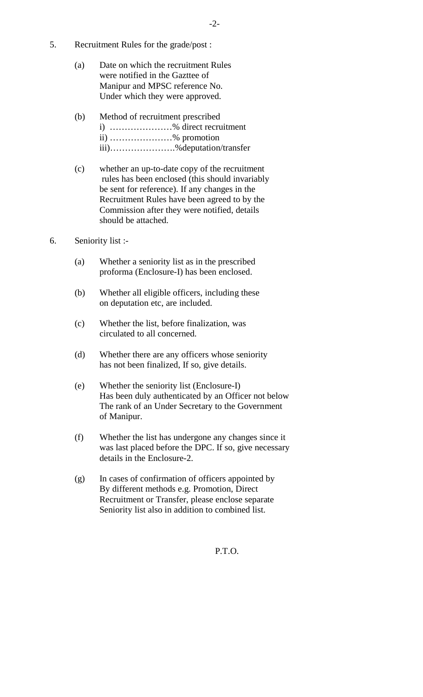- 5. Recruitment Rules for the grade/post :
	- (a) Date on which the recruitment Rules were notified in the Gazttee of Manipur and MPSC reference No. Under which they were approved.
	- (b) Method of recruitment prescribed i) …………………% direct recruitment ii) …………………% promotion iii)………………….%deputation/transfer
	- (c) whether an up-to-date copy of the recruitment rules has been enclosed (this should invariably be sent for reference). If any changes in the Recruitment Rules have been agreed to by the Commission after they were notified, details should be attached.
- 6. Seniority list :-
	- (a) Whether a seniority list as in the prescribed proforma (Enclosure-I) has been enclosed.
	- (b) Whether all eligible officers, including these on deputation etc, are included.
	- (c) Whether the list, before finalization, was circulated to all concerned.
	- (d) Whether there are any officers whose seniority has not been finalized, If so, give details.
	- (e) Whether the seniority list (Enclosure-I) Has been duly authenticated by an Officer not below The rank of an Under Secretary to the Government of Manipur.
	- (f) Whether the list has undergone any changes since it was last placed before the DPC. If so, give necessary details in the Enclosure-2.
	- (g) In cases of confirmation of officers appointed by By different methods e.g. Promotion, Direct Recruitment or Transfer, please enclose separate Seniority list also in addition to combined list.

P.T.O.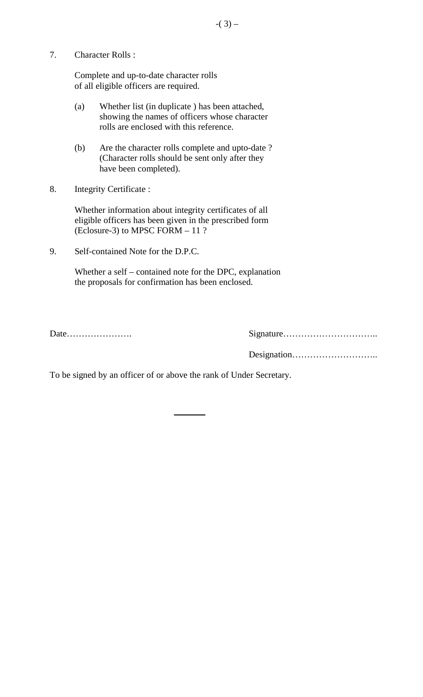7. Character Rolls :

Complete and up-to-date character rolls of all eligible officers are required.

- (a) Whether list (in duplicate ) has been attached, showing the names of officers whose character rolls are enclosed with this reference.
- (b) Are the character rolls complete and upto-date ? (Character rolls should be sent only after they have been completed).
- 8. Integrity Certificate :

Whether information about integrity certificates of all eligible officers has been given in the prescribed form (Eclosure-3) to MPSC FORM – 11 ?

9. Self-contained Note for the D.P.C.

Whether a self – contained note for the DPC, explanation the proposals for confirmation has been enclosed.

Date…………………. Signature………………………….. Designation………………………..

To be signed by an officer of or above the rank of Under Secretary.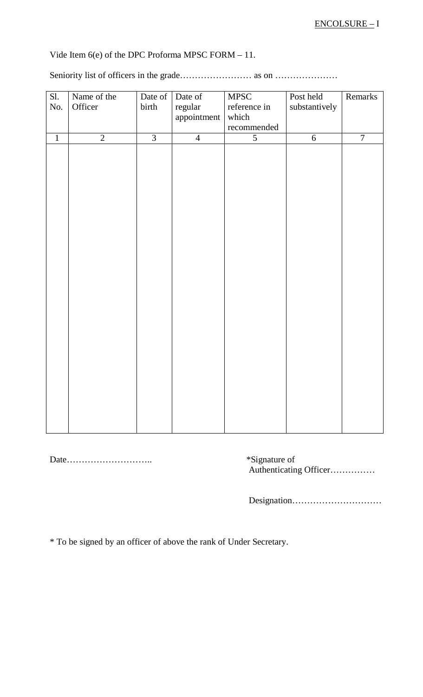Vide Item 6(e) of the DPC Proforma MPSC FORM – 11.

Seniority list of officers in the grade…………………… as on …………………

| reference in<br>substantively<br>recommended |
|----------------------------------------------|
|                                              |
| $\overline{7}$<br>$\overline{6}$             |
|                                              |

Date……………………….. \*Signature of

Authenticating Officer……………

Designation…………………………

\* To be signed by an officer of above the rank of Under Secretary.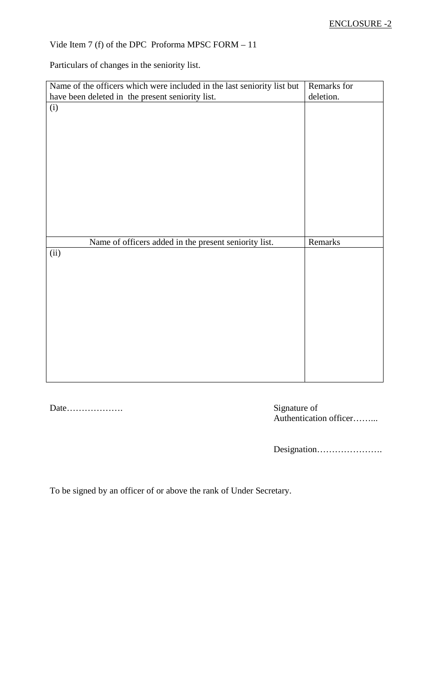## Vide Item 7 (f) of the DPC Proforma MPSC FORM – 11

Particulars of changes in the seniority list.

| Name of the officers which were included in the last seniority list but | Remarks for |
|-------------------------------------------------------------------------|-------------|
| have been deleted in the present seniority list.                        | deletion.   |
| (i)                                                                     |             |
|                                                                         |             |
|                                                                         |             |
|                                                                         |             |
|                                                                         |             |
|                                                                         |             |
|                                                                         |             |
|                                                                         |             |
|                                                                         |             |
|                                                                         |             |
|                                                                         |             |
|                                                                         |             |
|                                                                         |             |
| Name of officers added in the present seniority list.                   | Remarks     |
| (ii)                                                                    |             |
|                                                                         |             |
|                                                                         |             |
|                                                                         |             |
|                                                                         |             |
|                                                                         |             |
|                                                                         |             |
|                                                                         |             |
|                                                                         |             |
|                                                                         |             |
|                                                                         |             |
|                                                                         |             |
|                                                                         |             |

Date………………. Signature of

Signature of<br>Authentication officer……….

Designation………………….

To be signed by an officer of or above the rank of Under Secretary.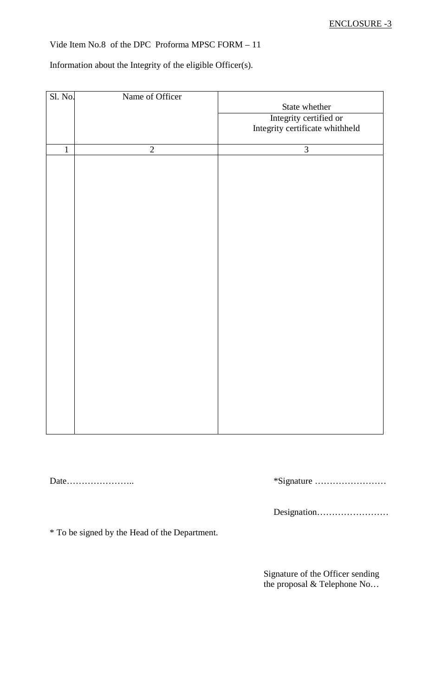Vide Item No.8 of the DPC Proforma MPSC FORM – 11

Information about the Integrity of the eligible Officer(s).

| Sl. No.      | Name of Officer |                                 |  |  |
|--------------|-----------------|---------------------------------|--|--|
|              |                 | State whether                   |  |  |
|              |                 | Integrity certified or          |  |  |
|              |                 | Integrity certificate whithheld |  |  |
|              |                 |                                 |  |  |
| $\mathbf{1}$ | $\sqrt{2}$      | 3                               |  |  |
|              |                 |                                 |  |  |
|              |                 |                                 |  |  |
|              |                 |                                 |  |  |
|              |                 |                                 |  |  |
|              |                 |                                 |  |  |
|              |                 |                                 |  |  |
|              |                 |                                 |  |  |
|              |                 |                                 |  |  |
|              |                 |                                 |  |  |
|              |                 |                                 |  |  |
|              |                 |                                 |  |  |
|              |                 |                                 |  |  |
|              |                 |                                 |  |  |
|              |                 |                                 |  |  |
|              |                 |                                 |  |  |
|              |                 |                                 |  |  |
|              |                 |                                 |  |  |
|              |                 |                                 |  |  |
|              |                 |                                 |  |  |
|              |                 |                                 |  |  |
|              |                 |                                 |  |  |
|              |                 |                                 |  |  |
|              |                 |                                 |  |  |
|              |                 |                                 |  |  |

Date………………….. \*Signature ……………………

Designation……………………

\* To be signed by the Head of the Department.

Signature of the Officer sending the proposal & Telephone No…